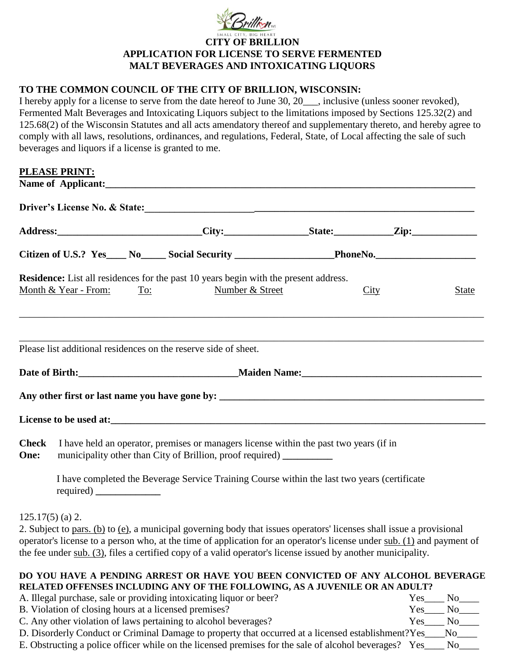

## **CITY OF BRILLION APPLICATION FOR LICENSE TO SERVE FERMENTED MALT BEVERAGES AND INTOXICATING LIQUORS**

## **TO THE COMMON COUNCIL OF THE CITY OF BRILLION, WISCONSIN:**

I hereby apply for a license to serve from the date hereof to June 30, 20\_\_\_, inclusive (unless sooner revoked), Fermented Malt Beverages and Intoxicating Liquors subject to the limitations imposed by Sections 125.32(2) and 125.68(2) of the Wisconsin Statutes and all acts amendatory thereof and supplementary thereto, and hereby agree to comply with all laws, resolutions, ordinances, and regulations, Federal, State, of Local affecting the sale of such beverages and liquors if a license is granted to me.

## **PLEASE PRINT:**

|                                                                 |                                                                                                                                                               | Citizen of U.S.? Yes____ No_____ Social Security __________________PhoneNo._________________________                                                                                                                                   |  |                       |  |  |
|-----------------------------------------------------------------|---------------------------------------------------------------------------------------------------------------------------------------------------------------|----------------------------------------------------------------------------------------------------------------------------------------------------------------------------------------------------------------------------------------|--|-----------------------|--|--|
|                                                                 | Month & Year - From:<br>To:                                                                                                                                   | Residence: List all residences for the past 10 years begin with the present address.<br>Number & Street                                                                                                                                |  | City<br>State         |  |  |
|                                                                 |                                                                                                                                                               | Please list additional residences on the reserve side of sheet.                                                                                                                                                                        |  |                       |  |  |
|                                                                 |                                                                                                                                                               |                                                                                                                                                                                                                                        |  |                       |  |  |
|                                                                 |                                                                                                                                                               |                                                                                                                                                                                                                                        |  |                       |  |  |
|                                                                 |                                                                                                                                                               | License to be used at:<br><u>License</u> to be used at:                                                                                                                                                                                |  |                       |  |  |
| <b>Check</b><br>One:                                            | I have held an operator, premises or managers license within the past two years (if in<br>municipality other than City of Brillion, proof required) _________ |                                                                                                                                                                                                                                        |  |                       |  |  |
|                                                                 |                                                                                                                                                               | I have completed the Beverage Service Training Course within the last two years (certificate                                                                                                                                           |  |                       |  |  |
|                                                                 | $125.17(5)$ (a) 2.                                                                                                                                            |                                                                                                                                                                                                                                        |  |                       |  |  |
|                                                                 |                                                                                                                                                               | 2. Subject to pars. (b) to (e), a municipal governing body that issues operators' licenses shall issue a provisional                                                                                                                   |  |                       |  |  |
|                                                                 |                                                                                                                                                               | operator's license to a person who, at the time of application for an operator's license under sub. (1) and payment of<br>the fee under sub. (3), files a certified copy of a valid operator's license issued by another municipality. |  |                       |  |  |
|                                                                 |                                                                                                                                                               | DO YOU HAVE A PENDING ARREST OR HAVE YOU BEEN CONVICTED OF ANY ALCOHOL BEVERAGE                                                                                                                                                        |  |                       |  |  |
|                                                                 |                                                                                                                                                               | RELATED OFFENSES INCLUDING ANY OF THE FOLLOWING, AS A JUVENILE OR AN ADULT?<br>A. Illegal purchase, sale or providing intoxicating liquor or beer?                                                                                     |  | $Yes_$<br>No          |  |  |
| B. Violation of closing hours at a licensed premises?<br>$Yes_$ |                                                                                                                                                               |                                                                                                                                                                                                                                        |  | No                    |  |  |
| C. Any other violation of laws pertaining to alcohol beverages? |                                                                                                                                                               |                                                                                                                                                                                                                                        |  | N <sub>o</sub><br>Yes |  |  |

D. Disorderly Conduct or Criminal Damage to property that occurred at a licensed establishment?Yes\_\_\_No\_\_\_\_\_\_

E. Obstructing a police officer while on the licensed premises for the sale of alcohol beverages? Yes\_\_\_\_ No\_\_\_\_